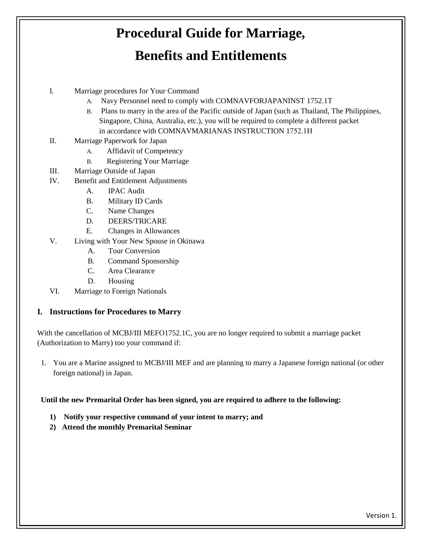# **Procedural Guide for Marriage,**

# **Benefits and Entitlements**

- I. Marriage procedures for Your Command
	- A. Navy Personnel need to comply with COMNAVFORJAPANINST 1752.1T
	- B. Plans to marry in the area of the Pacific outside of Japan (such as Thailand, The Philippines, Singapore, China, Australia, etc.), you will be required to complete a different packet in accordance with COMNAVMARIANAS INSTRUCTION 1752.1H
- II. Marriage Paperwork for Japan
	- A. Affidavit of Competency
	- B. Registering Your Marriage
- III. Marriage Outside of Japan
- IV. Benefit and Entitlement Adjustments
	- A. IPAC Audit
	- B. Military ID Cards
	- C. Name Changes
	- D. DEERS/TRICARE
	- E. Changes in Allowances
- V. Living with Your New Spouse in Okinawa
	- A. Tour Conversion
	- B. Command Sponsorship
	- C. Area Clearance
	- D. Housing
- VI. Marriage to Foreign Nationals

#### **I. Instructions for Procedures to Marry**

With the cancellation of MCBJ/III MEFO1752.1C, you are no longer required to submit a marriage packet (Authorization to Marry) too your command if:

1. You are a Marine assigned to MCBJ/III MEF and are planning to marry a Japanese foreign national (or other foreign national) in Japan.

**Until the new Premarital Order has been signed, you are required to adhere to the following:**

- **1) Notify your respective command of your intent to marry; and**
- **2) Attend the monthly Premarital Seminar**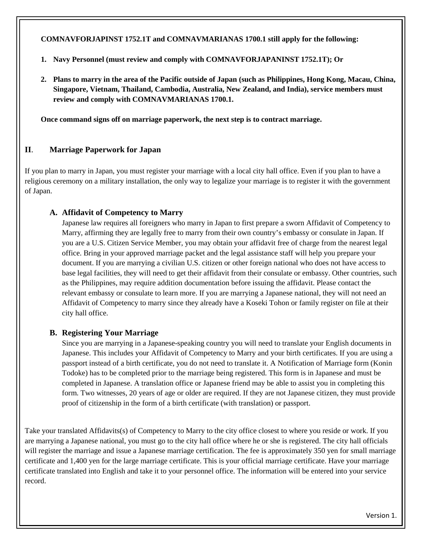**COMNAVFORJAPINST 1752.1T and COMNAVMARIANAS 1700.1 still apply for the following:** 

- **1. Navy Personnel (must review and comply with COMNAVFORJAPANINST 1752.1T); Or**
- **2. Plans to marry in the area of the Pacific outside of Japan (such as Philippines, Hong Kong, Macau, China, Singapore, Vietnam, Thailand, Cambodia, Australia, New Zealand, and India), service members must review and comply with COMNAVMARIANAS 1700.1.**

**Once command signs off on marriage paperwork, the next step is to contract marriage.**

# **II**. **Marriage Paperwork for Japan**

If you plan to marry in Japan, you must register your marriage with a local city hall office. Even if you plan to have a religious ceremony on a military installation, the only way to legalize your marriage is to register it with the government of Japan.

# **A. Affidavit of Competency to Marry**

Japanese law requires all foreigners who marry in Japan to first prepare a sworn Affidavit of Competency to Marry, affirming they are legally free to marry from their own country's embassy or consulate in Japan. If you are a U.S. Citizen Service Member, you may obtain your affidavit free of charge from the nearest legal office. Bring in your approved marriage packet and the legal assistance staff will help you prepare your document. If you are marrying a civilian U.S. citizen or other foreign national who does not have access to base legal facilities, they will need to get their affidavit from their consulate or embassy. Other countries, such as the Philippines, may require addition documentation before issuing the affidavit. Please contact the relevant embassy or consulate to learn more. If you are marrying a Japanese national, they will not need an Affidavit of Competency to marry since they already have a Koseki Tohon or family register on file at their city hall office.

#### **B. Registering Your Marriage**

Since you are marrying in a Japanese-speaking country you will need to translate your English documents in Japanese. This includes your Affidavit of Competency to Marry and your birth certificates. If you are using a passport instead of a birth certificate, you do not need to translate it. A Notification of Marriage form (Konin Todoke) has to be completed prior to the marriage being registered. This form is in Japanese and must be completed in Japanese. A translation office or Japanese friend may be able to assist you in completing this form. Two witnesses, 20 years of age or older are required. If they are not Japanese citizen, they must provide proof of citizenship in the form of a birth certificate (with translation) or passport.

Take your translated Affidavits(s) of Competency to Marry to the city office closest to where you reside or work. If you are marrying a Japanese national, you must go to the city hall office where he or she is registered. The city hall officials will register the marriage and issue a Japanese marriage certification. The fee is approximately 350 yen for small marriage certificate and 1,400 yen for the large marriage certificate. This is your official marriage certificate. Have your marriage certificate translated into English and take it to your personnel office. The information will be entered into your service record.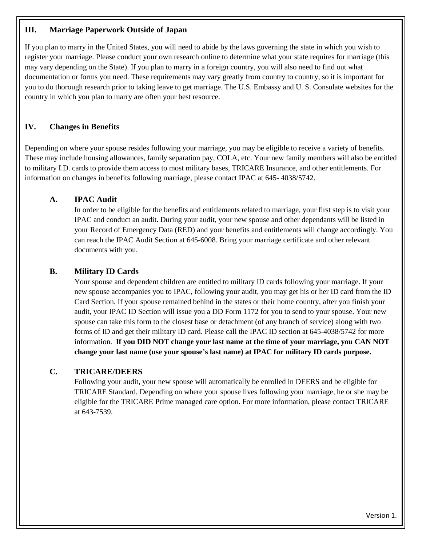#### **III. Marriage Paperwork Outside of Japan**

If you plan to marry in the United States, you will need to abide by the laws governing the state in which you wish to register your marriage. Please conduct your own research online to determine what your state requires for marriage (this may vary depending on the State). If you plan to marry in a foreign country, you will also need to find out what documentation or forms you need. These requirements may vary greatly from country to country, so it is important for you to do thorough research prior to taking leave to get marriage. The U.S. Embassy and U. S. Consulate websites for the country in which you plan to marry are often your best resource.

## **IV. Changes in Benefits**

Depending on where your spouse resides following your marriage, you may be eligible to receive a variety of benefits. These may include housing allowances, family separation pay, COLA, etc. Your new family members will also be entitled to military I.D. cards to provide them access to most military bases, TRICARE Insurance, and other entitlements. For information on changes in benefits following marriage, please contact IPAC at 645- 4038/5742.

#### **A. IPAC Audit**

In order to be eligible for the benefits and entitlements related to marriage, your first step is to visit your IPAC and conduct an audit. During your audit, your new spouse and other dependants will be listed in your Record of Emergency Data (RED) and your benefits and entitlements will change accordingly. You can reach the IPAC Audit Section at 645-6008. Bring your marriage certificate and other relevant documents with you.

#### **B. Military ID Cards**

Your spouse and dependent children are entitled to military ID cards following your marriage. If your new spouse accompanies you to IPAC, following your audit, you may get his or her ID card from the ID Card Section. If your spouse remained behind in the states or their home country, after you finish your audit, your IPAC ID Section will issue you a DD Form 1172 for you to send to your spouse. Your new spouse can take this form to the closest base or detachment (of any branch of service) along with two forms of ID and get their military ID card. Please call the IPAC ID section at 645-4038/5742 for more information. **If you DID NOT change your last name at the time of your marriage, you CAN NOT change your last name (use your spouse's last name) at IPAC for military ID cards purpose.**

#### **C. TRICARE/DEERS**

Following your audit, your new spouse will automatically be enrolled in DEERS and be eligible for TRICARE Standard. Depending on where your spouse lives following your marriage, he or she may be eligible for the TRICARE Prime managed care option. For more information, please contact TRICARE at 643-7539.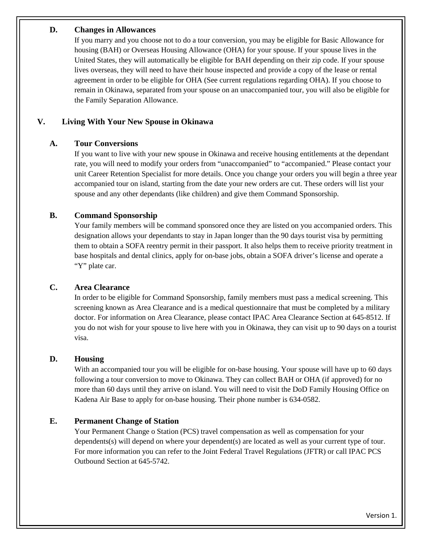#### **D. Changes in Allowances**

If you marry and you choose not to do a tour conversion, you may be eligible for Basic Allowance for housing (BAH) or Overseas Housing Allowance (OHA) for your spouse. If your spouse lives in the United States, they will automatically be eligible for BAH depending on their zip code. If your spouse lives overseas, they will need to have their house inspected and provide a copy of the lease or rental agreement in order to be eligible for OHA (See current regulations regarding OHA). If you choose to remain in Okinawa, separated from your spouse on an unaccompanied tour, you will also be eligible for the Family Separation Allowance.

## **V. Living With Your New Spouse in Okinawa**

#### **A. Tour Conversions**

If you want to live with your new spouse in Okinawa and receive housing entitlements at the dependant rate, you will need to modify your orders from "unaccompanied" to "accompanied." Please contact your unit Career Retention Specialist for more details. Once you change your orders you will begin a three year accompanied tour on island, starting from the date your new orders are cut. These orders will list your spouse and any other dependants (like children) and give them Command Sponsorship.

#### **B. Command Sponsorship**

Your family members will be command sponsored once they are listed on you accompanied orders. This designation allows your dependants to stay in Japan longer than the 90 days tourist visa by permitting them to obtain a SOFA reentry permit in their passport. It also helps them to receive priority treatment in base hospitals and dental clinics, apply for on-base jobs, obtain a SOFA driver's license and operate a "Y" plate car.

#### **C. Area Clearance**

In order to be eligible for Command Sponsorship, family members must pass a medical screening. This screening known as Area Clearance and is a medical questionnaire that must be completed by a military doctor. For information on Area Clearance, please contact IPAC Area Clearance Section at 645-8512. If you do not wish for your spouse to live here with you in Okinawa, they can visit up to 90 days on a tourist visa.

#### **D. Housing**

With an accompanied tour you will be eligible for on-base housing. Your spouse will have up to 60 days following a tour conversion to move to Okinawa. They can collect BAH or OHA (if approved) for no more than 60 days until they arrive on island. You will need to visit the DoD Family Housing Office on Kadena Air Base to apply for on-base housing. Their phone number is 634-0582.

#### **E. Permanent Change of Station**

Your Permanent Change o Station (PCS) travel compensation as well as compensation for your dependents(s) will depend on where your dependent(s) are located as well as your current type of tour. For more information you can refer to the Joint Federal Travel Regulations (JFTR) or call IPAC PCS Outbound Section at 645-5742.